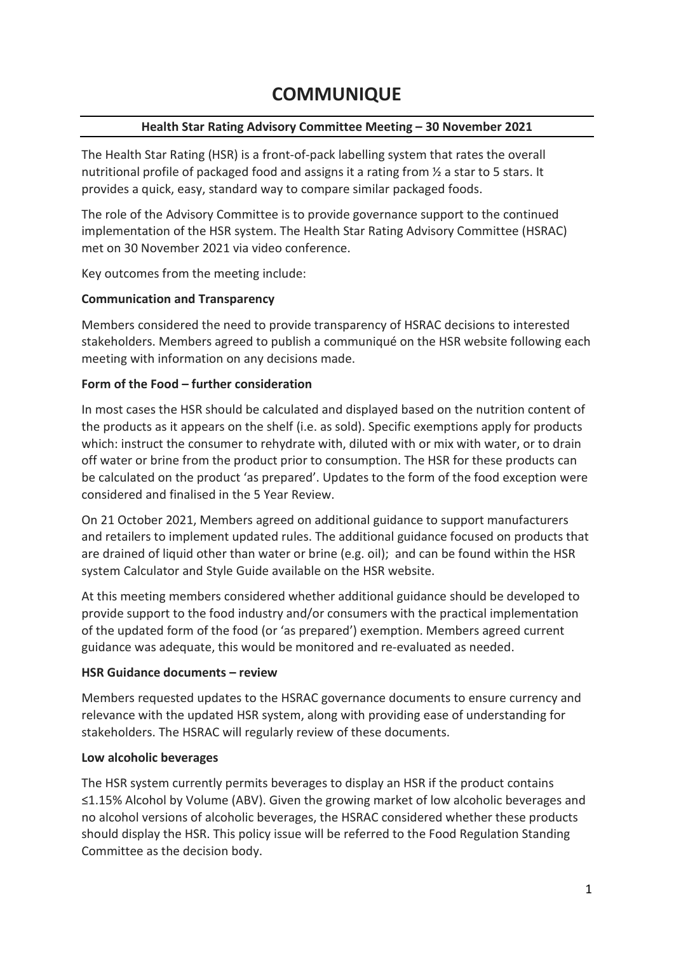# **COMMUNIQUE**

## **Health Star Rating Advisory Committee Meeting – 30 November 2021**

The Health Star Rating (HSR) is a front-of-pack labelling system that rates the overall nutritional profile of packaged food and assigns it a rating from ½ a star to 5 stars. It provides a quick, easy, standard way to compare similar packaged foods.

The role of the Advisory Committee is to provide governance support to the continued implementation of the HSR system. The Health Star Rating Advisory Committee (HSRAC) met on 30 November 2021 via video conference.

Key outcomes from the meeting include:

## **Communication and Transparency**

Members considered the need to provide transparency of HSRAC decisions to interested stakeholders. Members agreed to publish a communiqué on the HSR website following each meeting with information on any decisions made.

## **Form of the Food – further consideration**

In most cases the HSR should be calculated and displayed based on the nutrition content of the products as it appears on the shelf (i.e. as sold). Specific exemptions apply for products which: instruct the consumer to rehydrate with, diluted with or mix with water, or to drain off water or brine from the product prior to consumption. The HSR for these products can be calculated on the product 'as prepared'. Updates to the form of the food exception were considered and finalised in the 5 Year Review.

On 21 October 2021, Members agreed on additional guidance to support manufacturers and retailers to implement updated rules. The additional guidance focused on products that are drained of liquid other than water or brine (e.g. oil); and can be found within the HSR system Calculator and Style Guide available on the HSR website.

At this meeting members considered whether additional guidance should be developed to provide support to the food industry and/or consumers with the practical implementation of the updated form of the food (or 'as prepared') exemption. Members agreed current guidance was adequate, this would be monitored and re-evaluated as needed.

#### **HSR Guidance documents – review**

Members requested updates to the HSRAC governance documents to ensure currency and relevance with the updated HSR system, along with providing ease of understanding for stakeholders. The HSRAC will regularly review of these documents.

#### **Low alcoholic beverages**

The HSR system currently permits beverages to display an HSR if the product contains ≤1.15% Alcohol by Volume (ABV). Given the growing market of low alcoholic beverages and no alcohol versions of alcoholic beverages, the HSRAC considered whether these products should display the HSR. This policy issue will be referred to the Food Regulation Standing Committee as the decision body.